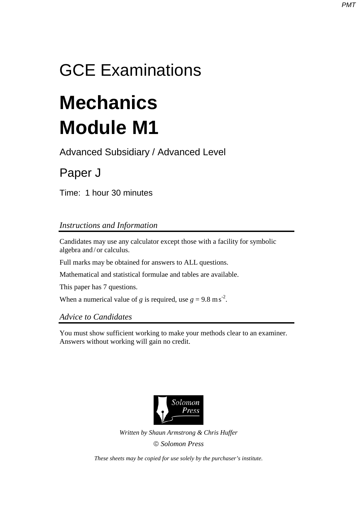## GCE Examinations

# **Mechanics Module M1**

Advanced Subsidiary / Advanced Level

## Paper J

Time: 1 hour 30 minutes

### *Instructions and Information*

Candidates may use any calculator except those with a facility for symbolic algebra and / or calculus.

Full marks may be obtained for answers to ALL questions.

Mathematical and statistical formulae and tables are available.

This paper has 7 questions.

When a numerical value of *g* is required, use  $g = 9.8 \text{ m s}^2$ .

#### *Advice to Candidates*

You must show sufficient working to make your methods clear to an examiner. Answers without working will gain no credit.



*Written by Shaun Armstrong & Chris Huffer Solomon Press* 

*These sheets may be copied for use solely by the purchaser's institute.*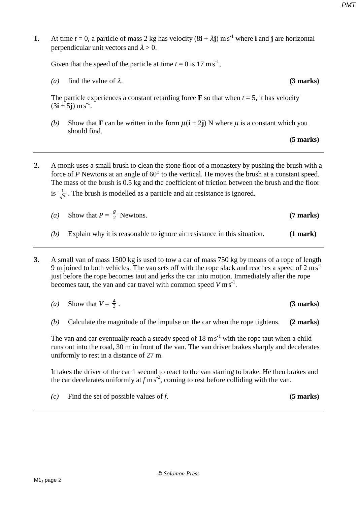**1.** At time  $t = 0$ , a particle of mass 2 kg has velocity  $(8\mathbf{i} + \lambda \mathbf{j})$  ms<sup>-1</sup> where **i** and **j** are horizontal perpendicular unit vectors and  $\lambda > 0$ .

Given that the speed of the particle at time  $t = 0$  is 17 m s<sup>-1</sup>,

*(a)* find the value of  $\lambda$ . **(3 marks)** 

The particle experiences a constant retarding force **F** so that when  $t = 5$ , it has velocity  $(3i + 5j)$  m s<sup>-1</sup>.

*(b)* Show that **F** can be written in the form  $\mu(i + 2i)$  N where  $\mu$  is a constant which you should find.

 **(5 marks)**

**2.** A monk uses a small brush to clean the stone floor of a monastery by pushing the brush with a force of *P* Newtons at an angle of 60° to the vertical. He moves the brush at a constant speed. The mass of the brush is 0.5 kg and the coefficient of friction between the brush and the floor is  $\frac{1}{\sqrt{3}}$ . The brush is modelled as a particle and air resistance is ignored.

| (a) | Show that $P = \frac{g}{2}$ Newtons.                                     | $(7 \text{ marks})$ |
|-----|--------------------------------------------------------------------------|---------------------|
|     | Explain why it is reasonable to ignore air resistance in this situation. | $(1$ mark $)$       |

- **3.** A small van of mass 1500 kg is used to tow a car of mass 750 kg by means of a rope of length 9 m joined to both vehicles. The van sets off with the rope slack and reaches a speed of  $2 \text{ ms}^{-1}$ just before the rope becomes taut and jerks the car into motion. Immediately after the rope becomes taut, the van and car travel with common speed  $V \text{ ms}^{-1}$ .
	- *(a)* Show that  $V = \frac{4}{3}$ . <sup>4</sup> . **(3 marks)**
	- *(b)* Calculate the magnitude of the impulse on the car when the rope tightens. **(2 marks)**

The van and car eventually reach a steady speed of  $18 \text{ ms}^{-1}$  with the rope taut when a child runs out into the road, 30 m in front of the van. The van driver brakes sharply and decelerates uniformly to rest in a distance of 27 m.

It takes the driver of the car 1 second to react to the van starting to brake. He then brakes and the car decelerates uniformly at  $f$  m s<sup>-2</sup>, coming to rest before colliding with the van.

 $(c)$  Find the set of possible values of *f*. **(5 marks)**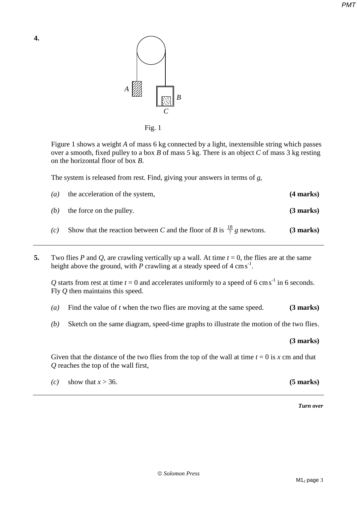

Fig. 1

Figure 1 shows a weight *A* of mass 6 kg connected by a light, inextensible string which passes over a smooth, fixed pulley to a box *B* of mass 5 kg. There is an object *C* of mass 3 kg resting on the horizontal floor of box *B*.

The system is released from rest. Find, giving your answers in terms of *g*,

| $\left( a\right)$ | the acceleration of the system,                                                  | $(4$ marks) |
|-------------------|----------------------------------------------------------------------------------|-------------|
| (b)               | the force on the pulley.                                                         | $(3$ marks) |
| (c)               | Show that the reaction between C and the floor of B is $\frac{18}{7}$ g newtons. | $(3$ marks) |

**5.** Two flies *P* and *Q*, are crawling vertically up a wall. At time  $t = 0$ , the flies are at the same height above the ground, with  $\overline{P}$  crawling at a steady speed of 4 cm s<sup>-1</sup>.

Q starts from rest at time  $t = 0$  and accelerates uniformly to a speed of 6 cm s<sup>-1</sup> in 6 seconds. Fly *Q* then maintains this speed.

- *(a)* Find the value of *t* when the two flies are moving at the same speed. **(3 marks)**
- *(b)* Sketch on the same diagram, speed-time graphs to illustrate the motion of the two flies.

**(3 marks)** 

Given that the distance of the two flies from the top of the wall at time  $t = 0$  is x cm and that *Q* reaches the top of the wall first,

|  | (c) show that $x > 36$ . | $(5 \text{ marks})$ |
|--|--------------------------|---------------------|
|--|--------------------------|---------------------|

*Turn over*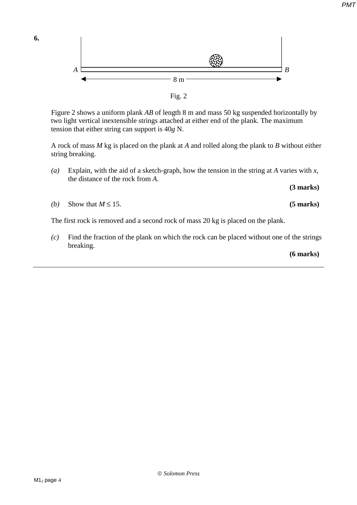

Fig. 2

Figure 2 shows a uniform plank *AB* of length 8 m and mass 50 kg suspended horizontally by two light vertical inextensible strings attached at either end of the plank. The maximum tension that either string can support is 40*g* N.

A rock of mass *M* kg is placed on the plank at *A* and rolled along the plank to *B* without either string breaking.

*(a)* Explain, with the aid of a sketch-graph, how the tension in the string at *A* varies with *x*, the distance of the rock from *A*.

**(3 marks)**

*(b)* Show that  $M \le 15$ . **(5 marks)** 

**6.** 

The first rock is removed and a second rock of mass 20 kg is placed on the plank.

*(c)* Find the fraction of the plank on which the rock can be placed without one of the strings breaking.

**(6 marks)**